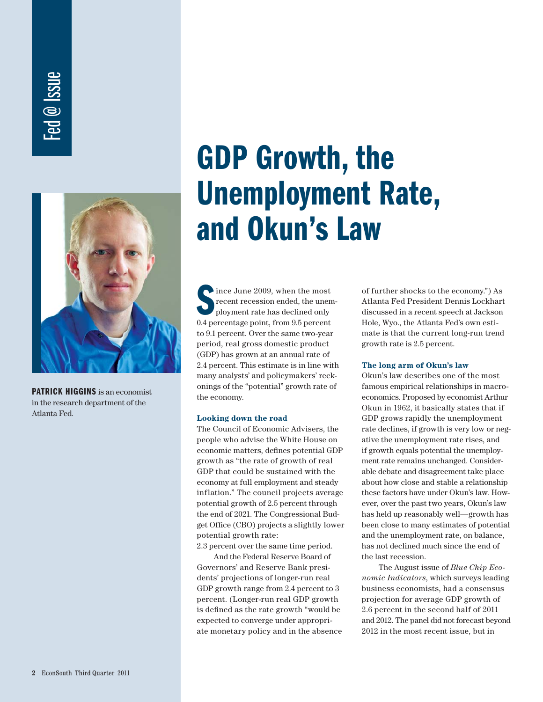# Fed @ Issue



**PATRICK HIGGINS** is an economist in the research department of the Atlanta Fed.

# **GDP Growth, the Unemployment Rate, and Okun's Law**

Since June 2009, when the most<br>
ployment rate has declined only<br>
0.4 percentage point, from 9.5 percent ince June 2009, when the most recent recession ended, the unemployment rate has declined only to 9.1 percent. Over the same two-year period, real gross domestic product (GDP) has grown at an annual rate of 2.4 percent. This estimate is in line with many analysts' and policymakers' reckonings of the "potential" growth rate of the economy.

#### **Looking down the road**

The Council of Economic Advisers, the people who advise the White House on economic matters, defines potential GDP growth as "the rate of growth of real GDP that could be sustained with the economy at full employment and steady inflation." The council projects average potential growth of 2.5 percent through the end of 2021. The Congressional Budget Office (CBO) projects a slightly lower potential growth rate:

2.3 percent over the same time period.

 And the Federal Reserve Board of Governors' and Reserve Bank presidents' projections of longer-run real GDP growth range from 2.4 percent to 3 percent. (Longer-run real GDP growth is defined as the rate growth "would be expected to converge under appropriate monetary policy and in the absence

of further shocks to the economy.") As Atlanta Fed President Dennis Lockhart discussed in a recent speech at Jackson Hole, Wyo., the Atlanta Fed's own estimate is that the current long-run trend growth rate is 2.5 percent.

#### **The long arm of Okun's law**

Okun's law describes one of the most famous empirical relationships in macroeconomics. Proposed by economist Arthur Okun in 1962, it basically states that if GDP grows rapidly the unemployment rate declines, if growth is very low or negative the unemployment rate rises, and if growth equals potential the unemployment rate remains unchanged. Considerable debate and disagreement take place about how close and stable a relationship these factors have under Okun's law. However, over the past two years, Okun's law has held up reasonably well—growth has been close to many estimates of potential and the unemployment rate, on balance, has not declined much since the end of the last recession.

 The August issue of *Blue Chip Economic Indicators*, which surveys leading business economists, had a consensus projection for average GDP growth of 2.6 percent in the second half of 2011 and 2012. The panel did not forecast beyond 2012 in the most recent issue, but in